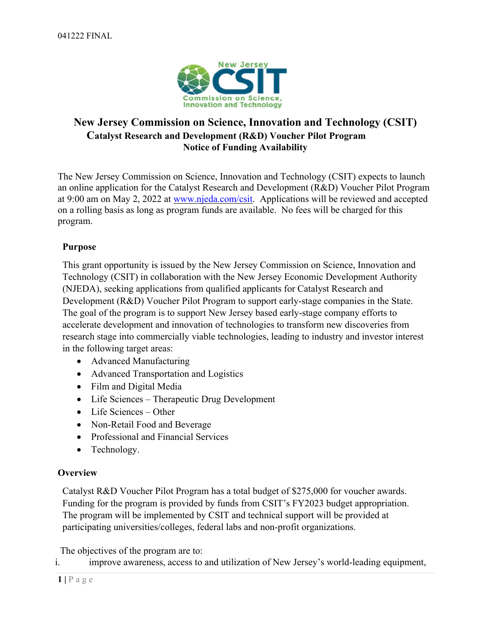

# **New Jersey Commission on Science, Innovation and Technology (CSIT) Catalyst Research and Development (R&D) Voucher Pilot Program Notice of Funding Availability**

The New Jersey Commission on Science, Innovation and Technology (CSIT) expects to launch an online application for the Catalyst Research and Development (R&D) Voucher Pilot Program at 9:00 am on May 2, 2022 at [www.njeda.com/csit.](http://www.njeda.com/csit) Applications will be reviewed and accepted on a rolling basis as long as program funds are available. No fees will be charged for this program.

# **Purpose**

This grant opportunity is issued by the New Jersey Commission on Science, Innovation and Technology (CSIT) in collaboration with the New Jersey Economic Development Authority (NJEDA), seeking applications from qualified applicants for Catalyst Research and Development (R&D) Voucher Pilot Program to support early-stage companies in the State. The goal of the program is to support New Jersey based early-stage company efforts to accelerate development and innovation of technologies to transform new discoveries from research stage into commercially viable technologies, leading to industry and investor interest in the following target areas:

- Advanced Manufacturing
- Advanced Transportation and Logistics
- Film and Digital Media
- Life Sciences Therapeutic Drug Development
- Life Sciences Other
- Non-Retail Food and Beverage
- Professional and Financial Services
- Technology.

# **Overview**

Catalyst R&D Voucher Pilot Program has a total budget of \$275,000 for voucher awards. Funding for the program is provided by funds from CSIT's FY2023 budget appropriation. The program will be implemented by CSIT and technical support will be provided at participating universities/colleges, federal labs and non-profit organizations.

The objectives of the program are to:

i. improve awareness, access to and utilization of New Jersey's world-leading equipment,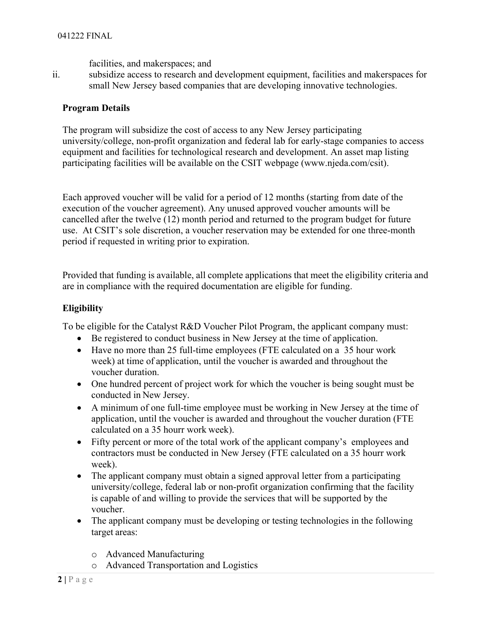facilities, and makerspaces; and

ii. subsidize access to research and development equipment, facilities and makerspaces for small New Jersey based companies that are developing innovative technologies.

#### **Program Details**

The program will subsidize the cost of access to any New Jersey participating university/college, non-profit organization and federal lab for early-stage companies to access equipment and facilities for technological research and development. An asset map listing participating facilities will be available on the CSIT webpage (www.njeda.com/csit).

Each approved voucher will be valid for a period of 12 months (starting from date of the execution of the voucher agreement). Any unused approved voucher amounts will be cancelled after the twelve (12) month period and returned to the program budget for future use. At CSIT's sole discretion, a voucher reservation may be extended for one three-month period if requested in writing prior to expiration.

Provided that funding is available, all complete applications that meet the eligibility criteria and are in compliance with the required documentation are eligible for funding.

## **Eligibility**

To be eligible for the Catalyst R&D Voucher Pilot Program, the applicant company must:

- Be registered to conduct business in New Jersey at the time of application.
- Have no more than 25 full-time employees (FTE calculated on a 35 hour work week) at time of application, until the voucher is awarded and throughout the voucher duration.
- One hundred percent of project work for which the voucher is being sought must be conducted in New Jersey.
- A minimum of one full-time employee must be working in New Jersey at the time of application, until the voucher is awarded and throughout the voucher duration (FTE calculated on a 35 hourr work week).
- Fifty percent or more of the total work of the applicant company's employees and contractors must be conducted in New Jersey (FTE calculated on a 35 hourr work week).
- The applicant company must obtain a signed approval letter from a participating university/college, federal lab or non-profit organization confirming that the facility is capable of and willing to provide the services that will be supported by the voucher.
- The applicant company must be developing or testing technologies in the following target areas:
	- o Advanced Manufacturing
	- o Advanced Transportation and Logistics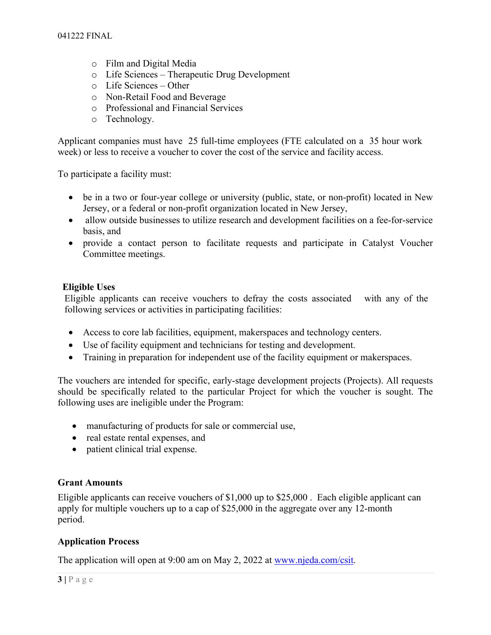- o Film and Digital Media
- o Life Sciences Therapeutic Drug Development
- o Life Sciences Other
- o Non-Retail Food and Beverage
- o Professional and Financial Services
- o Technology.

Applicant companies must have 25 full-time employees (FTE calculated on a 35 hour work week) or less to receive a voucher to cover the cost of the service and facility access.

To participate a facility must:

- be in a two or four-year college or university (public, state, or non-profit) located in New Jersey, or a federal or non-profit organization located in New Jersey,
- allow outside businesses to utilize research and development facilities on a fee-for-service basis, and
- provide a contact person to facilitate requests and participate in Catalyst Voucher Committee meetings.

#### **Eligible Uses**

Eligible applicants can receive vouchers to defray the costs associated with any of the following services or activities in participating facilities:

- Access to core lab facilities, equipment, makerspaces and technology centers.
- Use of facility equipment and technicians for testing and development.
- Training in preparation for independent use of the facility equipment or makerspaces.

The vouchers are intended for specific, early-stage development projects (Projects). All requests should be specifically related to the particular Project for which the voucher is sought. The following uses are ineligible under the Program:

- manufacturing of products for sale or commercial use,
- real estate rental expenses, and
- patient clinical trial expense.

## **Grant Amounts**

Eligible applicants can receive vouchers of \$1,000 up to \$25,000 . Each eligible applicant can apply for multiple vouchers up to a cap of \$25,000 in the aggregate over any 12-month period.

## **Application Process**

The application will open at 9:00 am on May 2, 2022 at [www.njeda.com/csit.](http://www.njeda.com/csit)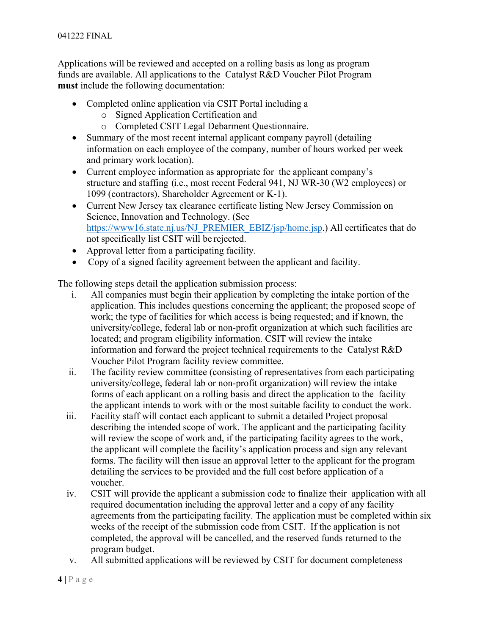Applications will be reviewed and accepted on a rolling basis as long as program funds are available. All applications to the Catalyst R&D Voucher Pilot Program **must** include the following documentation:

- Completed online application via CSIT Portal including a
	- o Signed Application Certification and
	- o Completed CSIT Legal Debarment Questionnaire.
- Summary of the most recent internal applicant company payroll (detailing information on each employee of the company, number of hours worked per week and primary work location).
- Current employee information as appropriate for the applicant company's structure and staffing (i.e., most recent Federal 941, NJ WR-30 (W2 employees) or 1099 (contractors), Shareholder Agreement or K-1).
- Current New Jersey tax clearance certificate listing New Jersey Commission on Science, Innovation and Technology. (See [https://www16.state.nj.us/NJ\\_PREMIER\\_EBIZ/jsp/home.jsp.](https://www16.state.nj.us/NJ_PREMIER_EBIZ/jsp/home.jsp)) All certificates that do not specifically list CSIT will be rejected.
- Approval letter from a participating facility.
- Copy of a signed facility agreement between the applicant and facility.

The following steps detail the application submission process:

- i. All companies must begin their application by completing the intake portion of the application. This includes questions concerning the applicant; the proposed scope of work; the type of facilities for which access is being requested; and if known, the university/college, federal lab or non-profit organization at which such facilities are located; and program eligibility information. CSIT will review the intake information and forward the project technical requirements to the Catalyst R&D Voucher Pilot Program facility review committee.
- ii. The facility review committee (consisting of representatives from each participating university/college, federal lab or non-profit organization) will review the intake forms of each applicant on a rolling basis and direct the application to the facility the applicant intends to work with or the most suitable facility to conduct the work.
- iii. Facility staff will contact each applicant to submit a detailed Project proposal describing the intended scope of work. The applicant and the participating facility will review the scope of work and, if the participating facility agrees to the work, the applicant will complete the facility's application process and sign any relevant forms. The facility will then issue an approval letter to the applicant for the program detailing the services to be provided and the full cost before application of a voucher.
- iv. CSIT will provide the applicant a submission code to finalize their application with all required documentation including the approval letter and a copy of any facility agreements from the participating facility. The application must be completed within six weeks of the receipt of the submission code from CSIT. If the application is not completed, the approval will be cancelled, and the reserved funds returned to the program budget.
- v. All submitted applications will be reviewed by CSIT for document completeness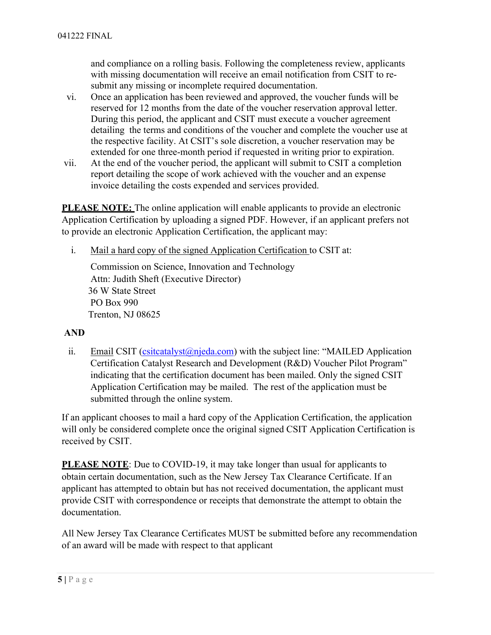and compliance on a rolling basis. Following the completeness review, applicants with missing documentation will receive an email notification from CSIT to resubmit any missing or incomplete required documentation.

- vi. Once an application has been reviewed and approved, the voucher funds will be reserved for 12 months from the date of the voucher reservation approval letter. During this period, the applicant and CSIT must execute a voucher agreement detailing the terms and conditions of the voucher and complete the voucher use at the respective facility. At CSIT's sole discretion, a voucher reservation may be extended for one three-month period if requested in writing prior to expiration.
- vii. At the end of the voucher period, the applicant will submit to CSIT a completion report detailing the scope of work achieved with the voucher and an expense invoice detailing the costs expended and services provided.

**PLEASE NOTE:** The online application will enable applicants to provide an electronic Application Certification by uploading a signed PDF. However, if an applicant prefers not to provide an electronic Application Certification, the applicant may:

i. Mail a hard copy of the signed Application Certification to CSIT at:

Commission on Science, Innovation and Technology Attn: Judith Sheft (Executive Director) 36 W State Street PO Box 990 Trenton, NJ 08625

## **AND**

ii. Email CSIT [\(csitcatalyst@njeda.com\)](mailto:csitcatalyst@njeda.com) with the subject line: "MAILED Application Certification Catalyst Research and Development (R&D) Voucher Pilot Program" indicating that the certification document has been mailed. Only the signed CSIT Application Certification may be mailed. The rest of the application must be submitted through the online system.

If an applicant chooses to mail a hard copy of the Application Certification, the application will only be considered complete once the original signed CSIT Application Certification is received by CSIT.

**PLEASE NOTE:** Due to COVID-19, it may take longer than usual for applicants to obtain certain documentation, such as the New Jersey Tax Clearance Certificate. If an applicant has attempted to obtain but has not received documentation, the applicant must provide CSIT with correspondence or receipts that demonstrate the attempt to obtain the documentation.

All New Jersey Tax Clearance Certificates MUST be submitted before any recommendation of an award will be made with respect to that applicant